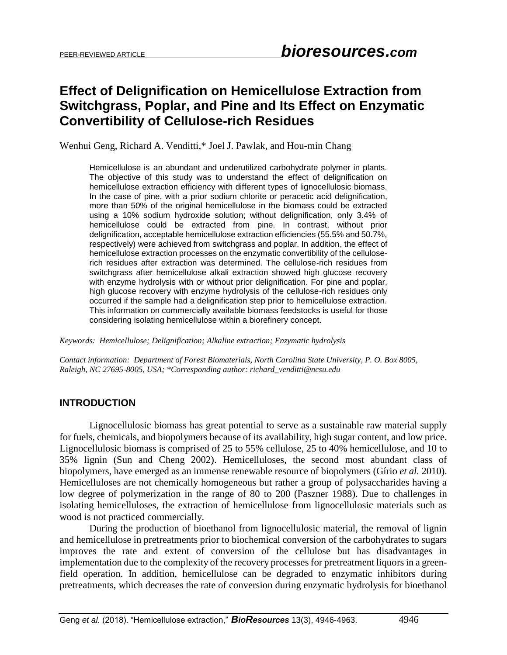# **Effect of Delignification on Hemicellulose Extraction from Switchgrass, Poplar, and Pine and Its Effect on Enzymatic Convertibility of Cellulose-rich Residues**

Wenhui Geng, Richard A. Venditti,\* Joel J. Pawlak, and Hou-min Chang

Hemicellulose is an abundant and underutilized carbohydrate polymer in plants. The objective of this study was to understand the effect of delignification on hemicellulose extraction efficiency with different types of lignocellulosic biomass. In the case of pine, with a prior sodium chlorite or peracetic acid delignification, more than 50% of the original hemicellulose in the biomass could be extracted using a 10% sodium hydroxide solution; without delignification, only 3.4% of hemicellulose could be extracted from pine. In contrast, without prior delignification, acceptable hemicellulose extraction efficiencies (55.5% and 50.7%, respectively) were achieved from switchgrass and poplar. In addition, the effect of hemicellulose extraction processes on the enzymatic convertibility of the celluloserich residues after extraction was determined. The cellulose-rich residues from switchgrass after hemicellulose alkali extraction showed high glucose recovery with enzyme hydrolysis with or without prior delignification. For pine and poplar, high glucose recovery with enzyme hydrolysis of the cellulose-rich residues only occurred if the sample had a delignification step prior to hemicellulose extraction. This information on commercially available biomass feedstocks is useful for those considering isolating hemicellulose within a biorefinery concept.

*Keywords: Hemicellulose; Delignification; Alkaline extraction; Enzymatic hydrolysis* 

*Contact information: Department of Forest Biomaterials, North Carolina State University, P. O. Box 8005, Raleigh, NC 27695-8005, USA; \*Corresponding author: richard\_venditti@ncsu.edu*

## **INTRODUCTION**

Lignocellulosic biomass has great potential to serve as a sustainable raw material supply for fuels, chemicals, and biopolymers because of its availability, high sugar content, and low price. Lignocellulosic biomass is comprised of 25 to 55% cellulose, 25 to 40% hemicellulose, and 10 to 35% lignin (Sun and Cheng 2002). Hemicelluloses, the second most abundant class of biopolymers, have emerged as an immense renewable resource of biopolymers (Gírio *et al.* 2010). Hemicelluloses are not chemically homogeneous but rather a group of polysaccharides having a low degree of polymerization in the range of 80 to 200 (Paszner 1988). Due to challenges in isolating hemicelluloses, the extraction of hemicellulose from lignocellulosic materials such as wood is not practiced commercially.

During the production of bioethanol from lignocellulosic material, the removal of lignin and hemicellulose in pretreatments prior to biochemical conversion of the carbohydrates to sugars improves the rate and extent of conversion of the cellulose but has disadvantages in implementation due to the complexity of the recovery processes for pretreatment liquors in a greenfield operation. In addition, hemicellulose can be degraded to enzymatic inhibitors during pretreatments, which decreases the rate of conversion during enzymatic hydrolysis for bioethanol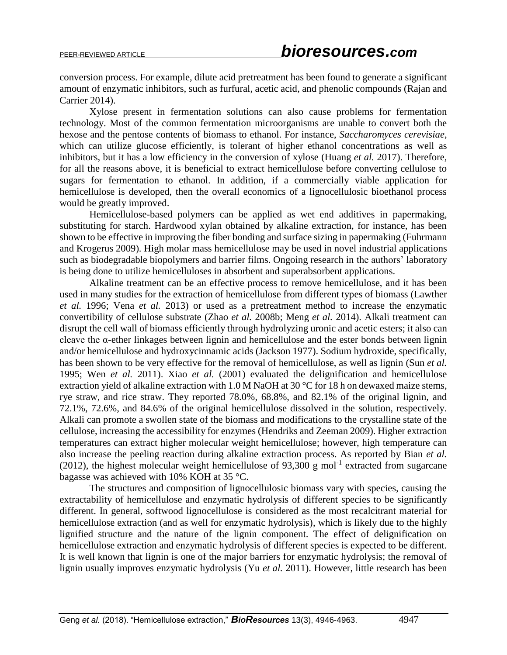conversion process. For example, dilute acid pretreatment has been found to generate a significant amount of enzymatic inhibitors, such as furfural, acetic acid, and phenolic compounds (Rajan and Carrier 2014).

Xylose present in fermentation solutions can also cause problems for fermentation technology. Most of the common fermentation microorganisms are unable to convert both the hexose and the pentose contents of biomass to ethanol. For instance, *Saccharomyces cerevisiae*, which can utilize glucose efficiently, is tolerant of higher ethanol concentrations as well as inhibitors, but it has a low efficiency in the conversion of xylose (Huang *et al.* 2017). Therefore, for all the reasons above, it is beneficial to extract hemicellulose before converting cellulose to sugars for fermentation to ethanol. In addition, if a commercially viable application for hemicellulose is developed, then the overall economics of a lignocellulosic bioethanol process would be greatly improved.

Hemicellulose-based polymers can be applied as wet end additives in papermaking, substituting for starch. Hardwood xylan obtained by alkaline extraction, for instance, has been shown to be effective in improving the fiber bonding and surface sizing in papermaking (Fuhrmann and Krogerus 2009). High molar mass hemicellulose may be used in novel industrial applications such as biodegradable biopolymers and barrier films. Ongoing research in the authors' laboratory is being done to utilize hemicelluloses in absorbent and superabsorbent applications.

Alkaline treatment can be an effective process to remove hemicellulose, and it has been used in many studies for the extraction of hemicellulose from different types of biomass (Lawther *et al.* 1996; Vena *et al.* 2013) or used as a pretreatment method to increase the enzymatic convertibility of cellulose substrate (Zhao *et al.* 2008b; Meng *et al.* 2014). Alkali treatment can disrupt the cell wall of biomass efficiently through hydrolyzing uronic and acetic esters; it also can cleave the α-ether linkages between lignin and hemicellulose and the ester bonds between lignin and/or hemicellulose and hydroxycinnamic acids (Jackson 1977). Sodium hydroxide, specifically, has been shown to be very effective for the removal of hemicellulose, as well as lignin (Sun *et al.* 1995; Wen *et al.* 2011). Xiao *et al.* (2001) evaluated the delignification and hemicellulose extraction yield of alkaline extraction with 1.0 M NaOH at 30 °C for 18 h on dewaxed maize stems, rye straw, and rice straw. They reported 78.0%, 68.8%, and 82.1% of the original lignin, and 72.1%, 72.6%, and 84.6% of the original hemicellulose dissolved in the solution, respectively. Alkali can promote a swollen state of the biomass and modifications to the crystalline state of the cellulose, increasing the accessibility for enzymes (Hendriks and Zeeman 2009). Higher extraction temperatures can extract higher molecular weight hemicellulose; however, high temperature can also increase the peeling reaction during alkaline extraction process. As reported by Bian *et al.*  $(2012)$ , the highest molecular weight hemicellulose of 93,300 g mol<sup>-1</sup> extracted from sugarcane bagasse was achieved with 10% KOH at 35 °C.

The structures and composition of lignocellulosic biomass vary with species, causing the extractability of hemicellulose and enzymatic hydrolysis of different species to be significantly different. In general, softwood lignocellulose is considered as the most recalcitrant material for hemicellulose extraction (and as well for enzymatic hydrolysis), which is likely due to the highly lignified structure and the nature of the lignin component. The effect of delignification on hemicellulose extraction and enzymatic hydrolysis of different species is expected to be different. It is well known that lignin is one of the major barriers for enzymatic hydrolysis; the removal of lignin usually improves enzymatic hydrolysis (Yu *et al.* 2011). However, little research has been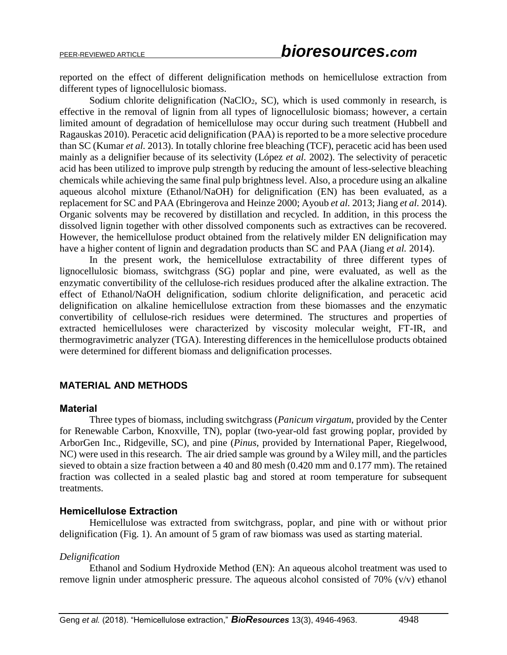reported on the effect of different delignification methods on hemicellulose extraction from different types of lignocellulosic biomass.

Sodium chlorite delignification (NaClO<sub>2</sub>, SC), which is used commonly in research, is effective in the removal of lignin from all types of lignocellulosic biomass; however, a certain limited amount of degradation of hemicellulose may occur during such treatment (Hubbell and Ragauskas 2010). Peracetic acid delignification (PAA) is reported to be a more selective procedure than SC (Kumar *et al.* 2013). In totally chlorine free bleaching (TCF), peracetic acid has been used mainly as a delignifier because of its selectivity (López *et al.* 2002). The selectivity of peracetic acid has been utilized to improve pulp strength by reducing the amount of less-selective bleaching chemicals while achieving the same final pulp brightness level. Also, a procedure using an alkaline aqueous alcohol mixture (Ethanol/NaOH) for delignification (EN) has been evaluated, as a replacement for SC and PAA (Ebringerova and Heinze 2000; Ayoub *et al.* 2013; Jiang *et al.* 2014). Organic solvents may be recovered by distillation and recycled. In addition, in this process the dissolved lignin together with other dissolved components such as extractives can be recovered. However, the hemicellulose product obtained from the relatively milder EN delignification may have a higher content of lignin and degradation products than SC and PAA (Jiang *et al.* 2014).

In the present work, the hemicellulose extractability of three different types of lignocellulosic biomass, switchgrass (SG) poplar and pine, were evaluated, as well as the enzymatic convertibility of the cellulose-rich residues produced after the alkaline extraction. The effect of Ethanol/NaOH delignification, sodium chlorite delignification, and peracetic acid delignification on alkaline hemicellulose extraction from these biomasses and the enzymatic convertibility of cellulose-rich residues were determined. The structures and properties of extracted hemicelluloses were characterized by viscosity molecular weight, FT-IR, and thermogravimetric analyzer (TGA). Interesting differences in the hemicellulose products obtained were determined for different biomass and delignification processes.

# **MATERIAL AND METHODS**

#### **Material**

Three types of biomass, including switchgrass (*Panicum virgatum*, provided by the Center for Renewable Carbon, Knoxville, TN), poplar (two-year-old fast growing poplar, provided by ArborGen Inc., Ridgeville, SC), and pine (*Pinus*, provided by International Paper, Riegelwood, NC) were used in this research. The air dried sample was ground by a Wiley mill, and the particles sieved to obtain a size fraction between a 40 and 80 mesh (0.420 mm and 0.177 mm). The retained fraction was collected in a sealed plastic bag and stored at room temperature for subsequent treatments.

#### **Hemicellulose Extraction**

Hemicellulose was extracted from switchgrass, poplar, and pine with or without prior delignification (Fig. 1). An amount of 5 gram of raw biomass was used as starting material.

#### *Delignification*

Ethanol and Sodium Hydroxide Method (EN): An aqueous alcohol treatment was used to remove lignin under atmospheric pressure. The aqueous alcohol consisted of 70% (v/v) ethanol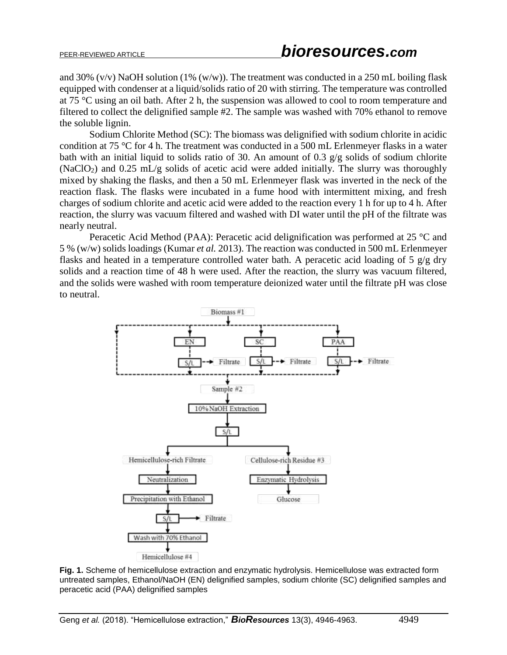and 30% (v/v) NaOH solution (1% (w/w)). The treatment was conducted in a 250 mL boiling flask equipped with condenser at a liquid/solids ratio of 20 with stirring. The temperature was controlled at 75 °C using an oil bath. After 2 h, the suspension was allowed to cool to room temperature and filtered to collect the delignified sample #2. The sample was washed with 70% ethanol to remove the soluble lignin.

Sodium Chlorite Method (SC): The biomass was delignified with sodium chlorite in acidic condition at 75 °C for 4 h. The treatment was conducted in a 500 mL Erlenmeyer flasks in a water bath with an initial liquid to solids ratio of 30. An amount of 0.3 g/g solids of sodium chlorite (NaClO<sub>2</sub>) and 0.25 mL/g solids of acetic acid were added initially. The slurry was thoroughly mixed by shaking the flasks, and then a 50 mL Erlenmeyer flask was inverted in the neck of the reaction flask. The flasks were incubated in a fume hood with intermittent mixing, and fresh charges of sodium chlorite and acetic acid were added to the reaction every 1 h for up to 4 h. After reaction, the slurry was vacuum filtered and washed with DI water until the pH of the filtrate was nearly neutral.

Peracetic Acid Method (PAA): Peracetic acid delignification was performed at 25 °C and 5 % (w/w) solids loadings (Kumar *et al.* 2013). The reaction was conducted in 500 mL Erlenmeyer flasks and heated in a temperature controlled water bath. A peracetic acid loading of 5 g/g dry solids and a reaction time of 48 h were used. After the reaction, the slurry was vacuum filtered, and the solids were washed with room temperature deionized water until the filtrate pH was close to neutral.



**Fig. 1.** Scheme of hemicellulose extraction and enzymatic hydrolysis. Hemicellulose was extracted form untreated samples, Ethanol/NaOH (EN) delignified samples, sodium chlorite (SC) delignified samples and peracetic acid (PAA) delignified samples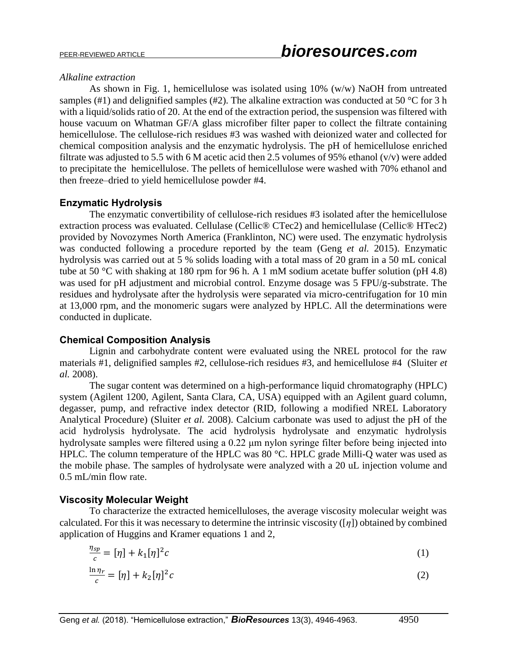#### *Alkaline extraction*

As shown in Fig. 1, hemicellulose was isolated using 10% (w/w) NaOH from untreated samples (#1) and delignified samples (#2). The alkaline extraction was conducted at 50  $\degree$ C for 3 h with a liquid/solids ratio of 20. At the end of the extraction period, the suspension was filtered with house vacuum on Whatman GF/A glass microfiber filter paper to collect the filtrate containing hemicellulose. The cellulose-rich residues #3 was washed with deionized water and collected for chemical composition analysis and the enzymatic hydrolysis. The pH of hemicellulose enriched filtrate was adjusted to 5.5 with 6 M acetic acid then 2.5 volumes of 95% ethanol ( $v/v$ ) were added to precipitate the hemicellulose. The pellets of hemicellulose were washed with 70% ethanol and then freeze–dried to yield hemicellulose powder #4.

# **Enzymatic Hydrolysis**

The enzymatic convertibility of cellulose-rich residues #3 isolated after the hemicellulose extraction process was evaluated. Cellulase (Cellic® CTec2) and hemicellulase (Cellic® HTec2) provided by Novozymes North America (Franklinton, NC) were used. The enzymatic hydrolysis was conducted following a procedure reported by the team (Geng *et al.* 2015). Enzymatic hydrolysis was carried out at 5 % solids loading with a total mass of 20 gram in a 50 mL conical tube at 50 °C with shaking at 180 rpm for 96 h. A 1 mM sodium acetate buffer solution (pH 4.8) was used for pH adjustment and microbial control. Enzyme dosage was 5 FPU/g-substrate. The residues and hydrolysate after the hydrolysis were separated via micro-centrifugation for 10 min at 13,000 rpm, and the monomeric sugars were analyzed by HPLC. All the determinations were conducted in duplicate.

# **Chemical Composition Analysis**

Lignin and carbohydrate content were evaluated using the NREL protocol for the raw materials #1, delignified samples #2, cellulose-rich residues #3, and hemicellulose #4 (Sluiter *et al.* 2008).

The sugar content was determined on a high-performance liquid chromatography (HPLC) system (Agilent 1200, Agilent, Santa Clara, CA, USA) equipped with an Agilent guard column, degasser, pump, and refractive index detector (RID, following a modified NREL Laboratory Analytical Procedure) (Sluiter *et al.* 2008). Calcium carbonate was used to adjust the pH of the acid hydrolysis hydrolysate. The acid hydrolysis hydrolysate and enzymatic hydrolysis hydrolysate samples were filtered using a 0.22 μm nylon syringe filter before being injected into HPLC. The column temperature of the HPLC was 80 °C. HPLC grade Milli-Q water was used as the mobile phase. The samples of hydrolysate were analyzed with a 20 uL injection volume and 0.5 mL/min flow rate.

# **Viscosity Molecular Weight**

To characterize the extracted hemicelluloses, the average viscosity molecular weight was calculated. For this it was necessary to determine the intrinsic viscosity ([*η*]) obtained by combined application of Huggins and Kramer equations 1 and 2,

$$
\frac{\eta_{sp}}{c} = [\eta] + k_1[\eta]^2 c \tag{1}
$$

$$
\frac{\ln \eta_r}{c} = [\eta] + k_2 [\eta]^2 c \tag{2}
$$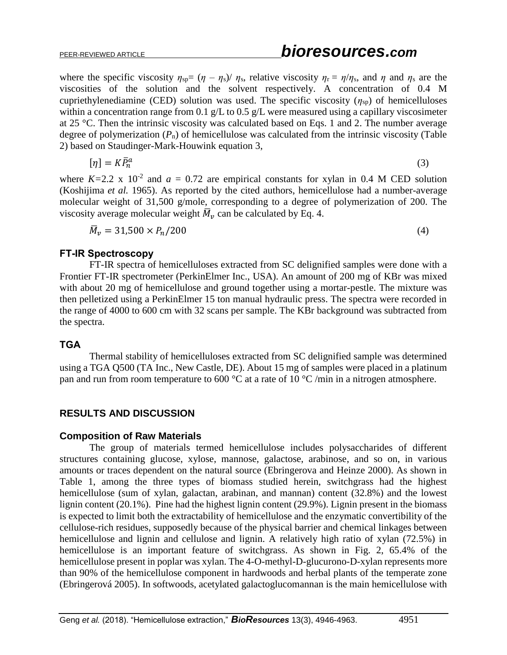where the specific viscosity  $\eta_{sp}=(\eta - \eta_s)/\eta_s$ , relative viscosity  $\eta_r = \eta/\eta_s$ , and  $\eta$  and  $\eta_s$  are the viscosities of the solution and the solvent respectively. A concentration of 0.4 M cupriethylenediamine (CED) solution was used. The specific viscosity  $(\eta_{\rm SD})$  of hemicelluloses within a concentration range from 0.1 g/L to 0.5 g/L were measured using a capillary viscosimeter at 25 °C. Then the intrinsic viscosity was calculated based on Eqs. 1 and 2. The number average degree of polymerization  $(P_n)$  of hemicellulose was calculated from the intrinsic viscosity (Table 2) based on Staudinger-Mark-Houwink equation 3,

$$
[\eta] = K \bar{P}_n^a \tag{3}
$$

where  $K=2.2 \times 10^{-2}$  and  $a = 0.72$  are empirical constants for xylan in 0.4 M CED solution (Koshijima *et al.* 1965). As reported by the cited authors, hemicellulose had a number-average molecular weight of 31,500 g/mole, corresponding to a degree of polymerization of 200. The viscosity average molecular weight  $\overline{M}_v$  can be calculated by Eq. 4.

 $\bar{M}_v = 31{,}500 \times P_n/200$  (4)

#### **FT-IR Spectroscopy**

FT-IR spectra of hemicelluloses extracted from SC delignified samples were done with a Frontier FT-IR spectrometer (PerkinElmer Inc., USA). An amount of 200 mg of KBr was mixed with about 20 mg of hemicellulose and ground together using a mortar-pestle. The mixture was then pelletized using a PerkinElmer 15 ton manual hydraulic press. The spectra were recorded in the range of 4000 to 600 cm with 32 scans per sample. The KBr background was subtracted from the spectra.

## **TGA**

Thermal stability of hemicelluloses extracted from SC delignified sample was determined using a TGA Q500 (TA Inc., New Castle, DE). About 15 mg of samples were placed in a platinum pan and run from room temperature to 600 °C at a rate of 10 °C /min in a nitrogen atmosphere.

# **RESULTS AND DISCUSSION**

## **Composition of Raw Materials**

The group of materials termed hemicellulose includes polysaccharides of different structures containing glucose, xylose, mannose, galactose, arabinose, and so on, in various amounts or traces dependent on the natural source (Ebringerova and Heinze 2000). As shown in Table 1, among the three types of biomass studied herein, switchgrass had the highest hemicellulose (sum of xylan, galactan, arabinan, and mannan) content (32.8%) and the lowest lignin content (20.1%). Pine had the highest lignin content (29.9%). Lignin present in the biomass is expected to limit both the extractability of hemicellulose and the enzymatic convertibility of the cellulose-rich residues, supposedly because of the physical barrier and chemical linkages between hemicellulose and lignin and cellulose and lignin. A relatively high ratio of xylan (72.5%) in hemicellulose is an important feature of switchgrass. As shown in Fig. 2, 65.4% of the hemicellulose present in poplar was xylan. The 4-O-methyl-D-glucurono-D-xylan represents more than 90% of the hemicellulose component in hardwoods and herbal plants of the temperate zone (Ebringerová 2005). In softwoods, acetylated galactoglucomannan is the main hemicellulose with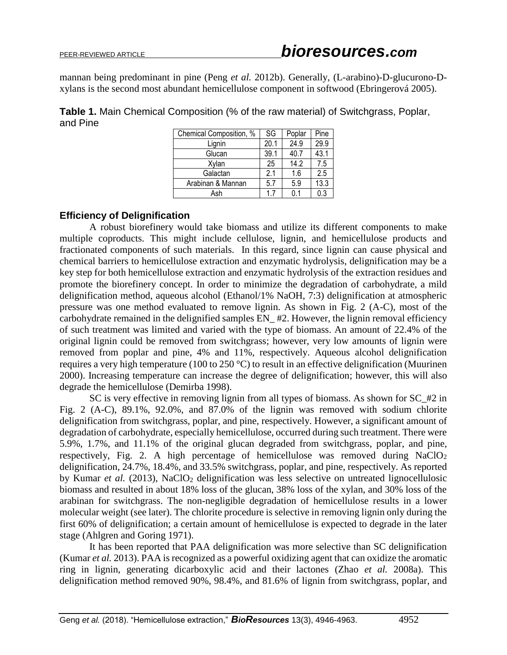mannan being predominant in pine (Peng *et al.* 2012b). Generally, (L-arabino)-D-glucurono-Dxylans is the second most abundant hemicellulose component in softwood (Ebringerová 2005).

**Table 1.** Main Chemical Composition (% of the raw material) of Switchgrass, Poplar, and Pine

| Chemical Composition, % | SG   | Poplar | Pine             |
|-------------------------|------|--------|------------------|
| Lignin                  | 20.1 | 24.9   | 29.9             |
| Glucan                  | 39.1 | 40.7   | 43.1             |
| Xylan                   | 25   | 14.2   | 7.5              |
| Galactan                | 2.1  | 1.6    | 2.5              |
| Arabinan & Mannan       | 5.7  | 5.9    | 13.3             |
| Ash                     | 17   | በ 1    | $\overline{0.3}$ |

# **Efficiency of Delignification**

A robust biorefinery would take biomass and utilize its different components to make multiple coproducts. This might include cellulose, lignin, and hemicellulose products and fractionated components of such materials. In this regard, since lignin can cause physical and chemical barriers to hemicellulose extraction and enzymatic hydrolysis, delignification may be a key step for both hemicellulose extraction and enzymatic hydrolysis of the extraction residues and promote the biorefinery concept. In order to minimize the degradation of carbohydrate, a mild delignification method, aqueous alcohol (Ethanol/1% NaOH, 7:3) delignification at atmospheric pressure was one method evaluated to remove lignin. As shown in Fig. 2 (A-C), most of the carbohydrate remained in the delignified samples EN\_ #2. However, the lignin removal efficiency of such treatment was limited and varied with the type of biomass. An amount of 22.4% of the original lignin could be removed from switchgrass; however, very low amounts of lignin were removed from poplar and pine, 4% and 11%, respectively. Aqueous alcohol delignification requires a very high temperature (100 to 250 °C) to result in an effective delignification (Muurinen 2000). Increasing temperature can increase the degree of delignification; however, this will also degrade the hemicellulose (Demirba 1998).

SC is very effective in removing lignin from all types of biomass. As shown for SC\_#2 in Fig. 2 (A-C), 89.1%, 92.0%, and 87.0% of the lignin was removed with sodium chlorite delignification from switchgrass, poplar, and pine, respectively. However, a significant amount of degradation of carbohydrate, especially hemicellulose, occurred during such treatment. There were 5.9%, 1.7%, and 11.1% of the original glucan degraded from switchgrass, poplar, and pine, respectively, Fig. 2. A high percentage of hemicellulose was removed during  $NaClO<sub>2</sub>$ delignification, 24.7%, 18.4%, and 33.5% switchgrass, poplar, and pine, respectively. As reported by Kumar *et al.* (2013), NaClO<sub>2</sub> delignification was less selective on untreated lignocellulosic biomass and resulted in about 18% loss of the glucan, 38% loss of the xylan, and 30% loss of the arabinan for switchgrass. The non-negligible degradation of hemicellulose results in a lower molecular weight (see later). The chlorite procedure is selective in removing lignin only during the first 60% of delignification; a certain amount of hemicellulose is expected to degrade in the later stage (Ahlgren and Goring 1971).

It has been reported that PAA delignification was more selective than SC delignification (Kumar *et al.* 2013). PAA is recognized as a powerful oxidizing agent that can oxidize the aromatic ring in lignin, generating dicarboxylic acid and their lactones (Zhao *et al.* 2008a). This delignification method removed 90%, 98.4%, and 81.6% of lignin from switchgrass, poplar, and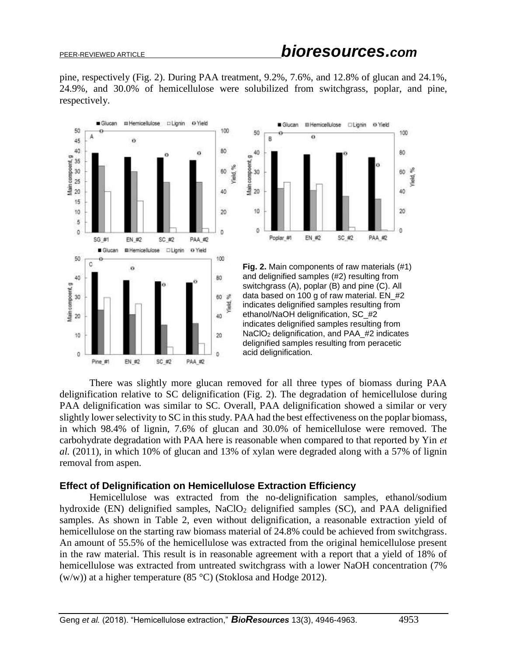pine, respectively (Fig. 2). During PAA treatment, 9.2%, 7.6%, and 12.8% of glucan and 24.1%, 24.9%, and 30.0% of hemicellulose were solubilized from switchgrass, poplar, and pine, respectively.





**Fig. 2.** Main components of raw materials (#1) and delignified samples (#2) resulting from switchgrass (A), poplar (B) and pine (C). All data based on 100 g of raw material. EN\_#2 indicates delignified samples resulting from ethanol/NaOH delignification, SC\_#2 indicates delignified samples resulting from NaClO<sub>2</sub> delignification, and PAA #2 indicates delignified samples resulting from peracetic acid delignification.

There was slightly more glucan removed for all three types of biomass during PAA delignification relative to SC delignification (Fig. 2). The degradation of hemicellulose during PAA delignification was similar to SC. Overall, PAA delignification showed a similar or very slightly lower selectivity to SC in this study. PAA had the best effectiveness on the poplar biomass, in which 98.4% of lignin, 7.6% of glucan and 30.0% of hemicellulose were removed. The carbohydrate degradation with PAA here is reasonable when compared to that reported by Yin *et al.* (2011), in which 10% of glucan and 13% of xylan were degraded along with a 57% of lignin removal from aspen.

## **Effect of Delignification on Hemicellulose Extraction Efficiency**

Hemicellulose was extracted from the no-delignification samples, ethanol/sodium hydroxide (EN) delignified samples, NaClO<sub>2</sub> delignified samples (SC), and PAA delignified samples. As shown in Table 2, even without delignification, a reasonable extraction yield of hemicellulose on the starting raw biomass material of 24.8% could be achieved from switchgrass. An amount of 55.5% of the hemicellulose was extracted from the original hemicellulose present in the raw material. This result is in reasonable agreement with a report that a yield of 18% of hemicellulose was extracted from untreated switchgrass with a lower NaOH concentration (7%) (w/w)) at a higher temperature (85 °C) (Stoklosa and Hodge 2012).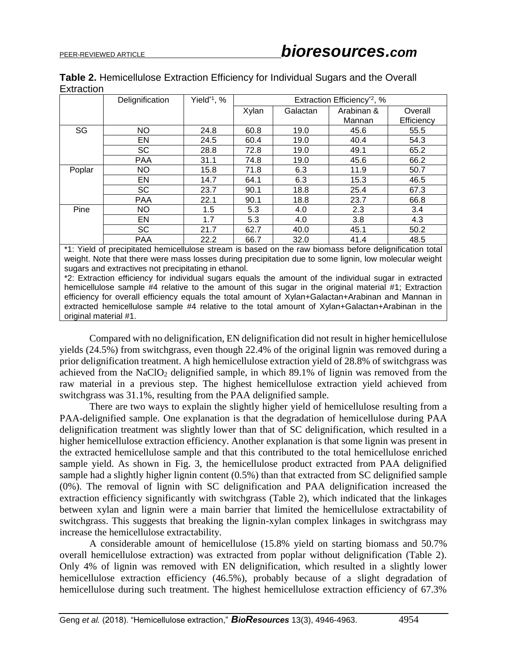| Table 2. Hemicellulose Extraction Efficiency for Individual Sugars and the Overall |  |  |  |  |
|------------------------------------------------------------------------------------|--|--|--|--|
| Extraction                                                                         |  |  |  |  |

|        | Delignification | Yield* <sup>1</sup> , % | Extraction Efficiency <sup>*2</sup> , % |          |                      |                       |  |
|--------|-----------------|-------------------------|-----------------------------------------|----------|----------------------|-----------------------|--|
|        |                 |                         | Xylan                                   | Galactan | Arabinan &<br>Mannan | Overall<br>Efficiency |  |
| SG     | <b>NO</b>       | 24.8                    | 60.8                                    | 19.0     | 45.6                 | 55.5                  |  |
|        | EN              | 24.5                    | 60.4                                    | 19.0     | 40.4                 | 54.3                  |  |
|        | <b>SC</b>       | 28.8                    | 72.8                                    | 19.0     | 49.1                 | 65.2                  |  |
|        | <b>PAA</b>      | 31.1                    | 74.8                                    | 19.0     | 45.6                 | 66.2                  |  |
| Poplar | NO.             | 15.8                    | 71.8                                    | 6.3      | 11.9                 | 50.7                  |  |
|        | EN              | 14.7                    | 64.1                                    | 6.3      | 15.3                 | 46.5                  |  |
|        | <b>SC</b>       | 23.7                    | 90.1                                    | 18.8     | 25.4                 | 67.3                  |  |
|        | <b>PAA</b>      | 22.1                    | 90.1                                    | 18.8     | 23.7                 | 66.8                  |  |
| Pine   | NO.             | 1.5                     | 5.3                                     | 4.0      | 2.3                  | 3.4                   |  |
|        | EN              | 1.7                     | 5.3                                     | 4.0      | 3.8                  | 4.3                   |  |
|        | <b>SC</b>       | 21.7                    | 62.7                                    | 40.0     | 45.1                 | 50.2                  |  |
|        | <b>PAA</b>      | 22.2                    | 66.7                                    | 32.0     | 41.4                 | 48.5                  |  |

\*1: Yield of precipitated hemicellulose stream is based on the raw biomass before delignification total weight. Note that there were mass losses during precipitation due to some lignin, low molecular weight sugars and extractives not precipitating in ethanol.

\*2: Extraction efficiency for individual sugars equals the amount of the individual sugar in extracted hemicellulose sample #4 relative to the amount of this sugar in the original material #1; Extraction efficiency for overall efficiency equals the total amount of Xylan+Galactan+Arabinan and Mannan in extracted hemicellulose sample #4 relative to the total amount of Xylan+Galactan+Arabinan in the original material #1.

Compared with no delignification, EN delignification did not result in higher hemicellulose yields (24.5%) from switchgrass, even though 22.4% of the original lignin was removed during a prior delignification treatment. A high hemicellulose extraction yield of 28.8% of switchgrass was achieved from the NaClO<sup>2</sup> delignified sample, in which 89.1% of lignin was removed from the raw material in a previous step. The highest hemicellulose extraction yield achieved from switchgrass was 31.1%, resulting from the PAA delignified sample.

There are two ways to explain the slightly higher yield of hemicellulose resulting from a PAA-delignified sample. One explanation is that the degradation of hemicellulose during PAA delignification treatment was slightly lower than that of SC delignification, which resulted in a higher hemicellulose extraction efficiency. Another explanation is that some lignin was present in the extracted hemicellulose sample and that this contributed to the total hemicellulose enriched sample yield. As shown in Fig. 3, the hemicellulose product extracted from PAA delignified sample had a slightly higher lignin content (0.5%) than that extracted from SC delignified sample (0%). The removal of lignin with SC delignification and PAA delignification increased the extraction efficiency significantly with switchgrass (Table 2), which indicated that the linkages between xylan and lignin were a main barrier that limited the hemicellulose extractability of switchgrass. This suggests that breaking the lignin-xylan complex linkages in switchgrass may increase the hemicellulose extractability.

A considerable amount of hemicellulose (15.8% yield on starting biomass and 50.7% overall hemicellulose extraction) was extracted from poplar without delignification (Table 2). Only 4% of lignin was removed with EN delignification, which resulted in a slightly lower hemicellulose extraction efficiency (46.5%), probably because of a slight degradation of hemicellulose during such treatment. The highest hemicellulose extraction efficiency of 67.3%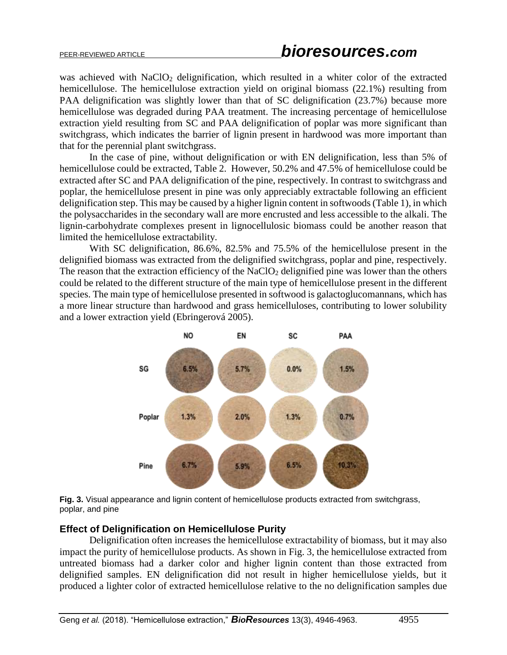was achieved with NaClO<sub>2</sub> delignification, which resulted in a whiter color of the extracted hemicellulose. The hemicellulose extraction yield on original biomass (22.1%) resulting from PAA delignification was slightly lower than that of SC delignification (23.7%) because more hemicellulose was degraded during PAA treatment. The increasing percentage of hemicellulose extraction yield resulting from SC and PAA delignification of poplar was more significant than switchgrass, which indicates the barrier of lignin present in hardwood was more important than that for the perennial plant switchgrass.

In the case of pine, without delignification or with EN delignification, less than 5% of hemicellulose could be extracted, Table 2. However, 50.2% and 47.5% of hemicellulose could be extracted after SC and PAA delignification of the pine, respectively. In contrast to switchgrass and poplar, the hemicellulose present in pine was only appreciably extractable following an efficient delignification step. This may be caused by a higher lignin content in softwoods (Table 1), in which the polysaccharides in the secondary wall are more encrusted and less accessible to the alkali. The lignin-carbohydrate complexes present in lignocellulosic biomass could be another reason that limited the hemicellulose extractability.

With SC delignification, 86.6%, 82.5% and 75.5% of the hemicellulose present in the delignified biomass was extracted from the delignified switchgrass, poplar and pine, respectively. The reason that the extraction efficiency of the  $NaClO<sub>2</sub>$  delignified pine was lower than the others could be related to the different structure of the main type of hemicellulose present in the different species. The main type of hemicellulose presented in softwood is galactoglucomannans, which has a more linear structure than hardwood and grass hemicelluloses, contributing to lower solubility and a lower extraction yield (Ebringerová 2005).



**Fig. 3.** Visual appearance and lignin content of hemicellulose products extracted from switchgrass, poplar, and pine

# **Effect of Delignification on Hemicellulose Purity**

Delignification often increases the hemicellulose extractability of biomass, but it may also impact the purity of hemicellulose products. As shown in Fig. 3, the hemicellulose extracted from untreated biomass had a darker color and higher lignin content than those extracted from delignified samples. EN delignification did not result in higher hemicellulose yields, but it produced a lighter color of extracted hemicellulose relative to the no delignification samples due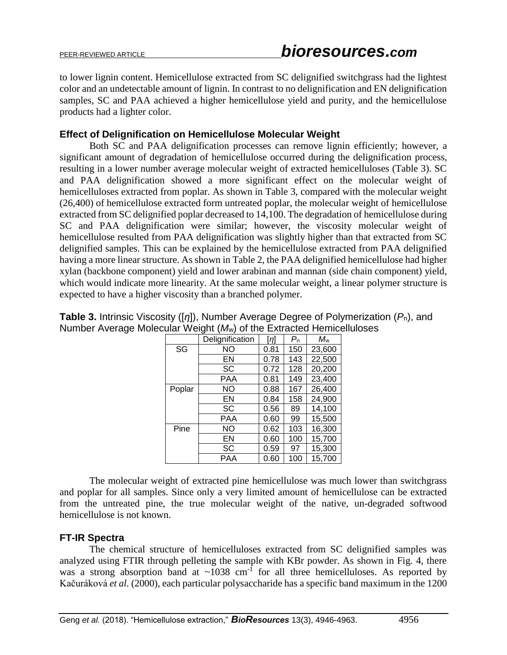to lower lignin content. Hemicellulose extracted from SC delignified switchgrass had the lightest color and an undetectable amount of lignin. In contrast to no delignification and EN delignification samples, SC and PAA achieved a higher hemicellulose yield and purity, and the hemicellulose products had a lighter color.

## **Effect of Delignification on Hemicellulose Molecular Weight**

Both SC and PAA delignification processes can remove lignin efficiently; however, a significant amount of degradation of hemicellulose occurred during the delignification process, resulting in a lower number average molecular weight of extracted hemicelluloses (Table 3). SC and PAA delignification showed a more significant effect on the molecular weight of hemicelluloses extracted from poplar. As shown in Table 3, compared with the molecular weight (26,400) of hemicellulose extracted form untreated poplar, the molecular weight of hemicellulose extracted from SC delignified poplar decreased to 14,100. The degradation of hemicellulose during SC and PAA delignification were similar; however, the viscosity molecular weight of hemicellulose resulted from PAA delignification was slightly higher than that extracted from SC delignified samples. This can be explained by the hemicellulose extracted from PAA delignified having a more linear structure. As shown in Table 2, the PAA delignified hemicellulose had higher xylan (backbone component) yield and lower arabinan and mannan (side chain component) yield, which would indicate more linearity. At the same molecular weight, a linear polymer structure is expected to have a higher viscosity than a branched polymer.

|        | Delignification | [n]  | $P_{\sf n}$ | Mw     |
|--------|-----------------|------|-------------|--------|
| SG     | NO              | 0.81 | 150         | 23,600 |
|        | EN              | 0.78 | 143         | 22,500 |
|        | SC              | 0.72 | 128         | 20,200 |
|        | PAA             | 0.81 | 149         | 23,400 |
| Poplar | ΝO              |      | 167         | 26,400 |
|        | EN              | 0.84 | 158         | 24,900 |
|        | <b>SC</b>       | 0.56 | 89          | 14,100 |
|        | PAA             | 0.60 | 99          | 15,500 |
| Pine   | NO              | 0.62 | 103         | 16,300 |
|        | EN              | 0.60 | 100         | 15,700 |
|        | SC              | 0.59 | 97          | 15,300 |
|        | PAA             | 0.60 | 100         | 15,700 |

**Table 3.** Intrinsic Viscosity ([*η*]), Number Average Degree of Polymerization (*P*n), and Number Average Molecular Weight (*M*w) of the Extracted Hemicelluloses

The molecular weight of extracted pine hemicellulose was much lower than switchgrass and poplar for all samples. Since only a very limited amount of hemicellulose can be extracted from the untreated pine, the true molecular weight of the native, un-degraded softwood hemicellulose is not known.

# **FT-IR Spectra**

The chemical structure of hemicelluloses extracted from SC delignified samples was analyzed using FTIR through pelleting the sample with KBr powder. As shown in Fig. 4, there was a strong absorption band at  $\sim 1038$  cm<sup>-1</sup> for all three hemicelluloses. As reported by Kačuráková *et al.* (2000), each particular polysaccharide has a specific band maximum in the 1200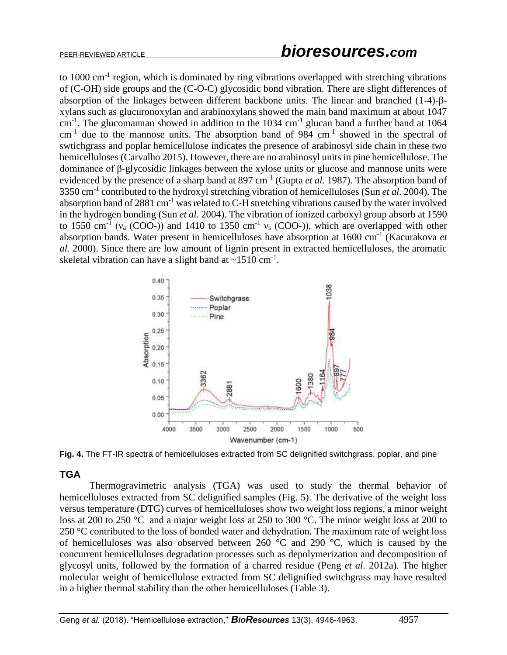to 1000 cm<sup>-1</sup> region, which is dominated by ring vibrations overlapped with stretching vibrations of (C-OH) side groups and the (C-O-C) glycosidic bond vibration. There are slight differences of absorption of the linkages between different backbone units. The linear and branched (1-4)-βxylans such as glucuronoxylan and arabinoxylans showed the main band maximum at about 1047  $cm<sup>-1</sup>$ . The glucomannan showed in addition to the 1034  $cm<sup>-1</sup>$  glucan band a further band at 1064  $cm<sup>-1</sup>$  due to the mannose units. The absorption band of 984  $cm<sup>-1</sup>$  showed in the spectral of swtichgrass and poplar hemicellulose indicates the presence of arabinosyl side chain in these two hemicelluloses (Carvalho 2015). However, there are no arabinosyl units in pine hemicellulose. The dominance of β-glycosidic linkages between the xylose units or glucose and mannose units were evidenced by the presence of a sharp band at 897 cm<sup>-1</sup> (Gupta *et al.* 1987). The absorption band of 3350 cm-1 contributed to the hydroxyl stretching vibration of hemicelluloses (Sun *et al.* 2004). The absorption band of 2881 cm<sup>-1</sup> was related to C-H stretching vibrations caused by the water involved in the hydrogen bonding (Sun *et al.* 2004). The vibration of ionized carboxyl group absorb at 1590 to 1550 cm<sup>-1</sup> ( $v_a$  (COO-)) and 1410 to 1350 cm<sup>-1</sup>  $v_s$  (COO-)), which are overlapped with other absorption bands. Water present in hemicelluloses have absorption at 1600 cm-1 (Kacurakova *et al.* 2000). Since there are low amount of lignin present in extracted hemicelluloses, the aromatic skeletal vibration can have a slight band at  $\sim$ 1510 cm<sup>-1</sup>.



**Fig. 4.** The FT-IR spectra of hemicelluloses extracted from SC delignified switchgrass, poplar, and pine

# **TGA**

Thermogravimetric analysis (TGA) was used to study the thermal behavior of hemicelluloses extracted from SC delignified samples (Fig. 5). The derivative of the weight loss versus temperature (DTG) curves of hemicelluloses show two weight loss regions, a minor weight loss at 200 to 250 °C and a major weight loss at 250 to 300 °C. The minor weight loss at 200 to 250 °C contributed to the loss of bonded water and dehydration. The maximum rate of weight loss of hemicelluloses was also observed between 260 °C and 290 °C, which is caused by the concurrent hemicelluloses degradation processes such as depolymerization and decomposition of glycosyl units, followed by the formation of a charred residue (Peng *et al.* 2012a). The higher molecular weight of hemicellulose extracted from SC delignified switchgrass may have resulted in a higher thermal stability than the other hemicelluloses (Table 3).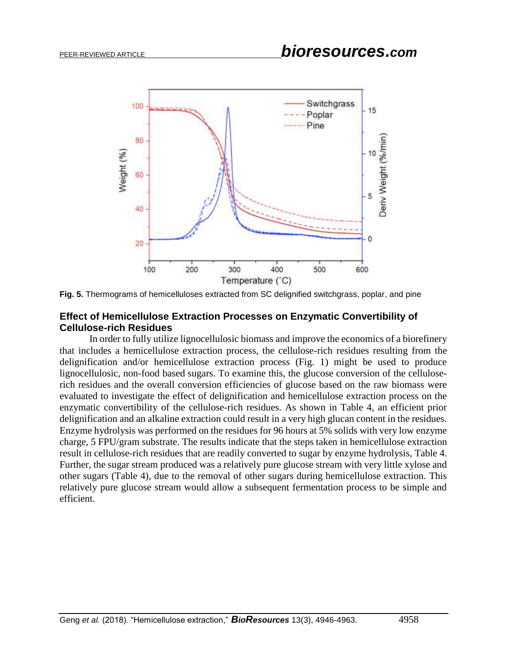

**Fig. 5.** Thermograms of hemicelluloses extracted from SC delignified switchgrass, poplar, and pine

# **Effect of Hemicellulose Extraction Processes on Enzymatic Convertibility of Cellulose-rich Residues**

In order to fully utilize lignocellulosic biomass and improve the economics of a biorefinery that includes a hemicellulose extraction process, the cellulose-rich residues resulting from the delignification and/or hemicellulose extraction process (Fig. 1) might be used to produce lignocellulosic, non-food based sugars. To examine this, the glucose conversion of the celluloserich residues and the overall conversion efficiencies of glucose based on the raw biomass were evaluated to investigate the effect of delignification and hemicellulose extraction process on the enzymatic convertibility of the cellulose-rich residues. As shown in Table 4, an efficient prior delignification and an alkaline extraction could result in a very high glucan content in the residues. Enzyme hydrolysis was performed on the residues for 96 hours at 5% solids with very low enzyme charge, 5 FPU/gram substrate. The results indicate that the steps taken in hemicellulose extraction result in cellulose-rich residues that are readily converted to sugar by enzyme hydrolysis, Table 4. Further, the sugar stream produced was a relatively pure glucose stream with very little xylose and other sugars (Table 4), due to the removal of other sugars during hemicellulose extraction. This relatively pure glucose stream would allow a subsequent fermentation process to be simple and efficient.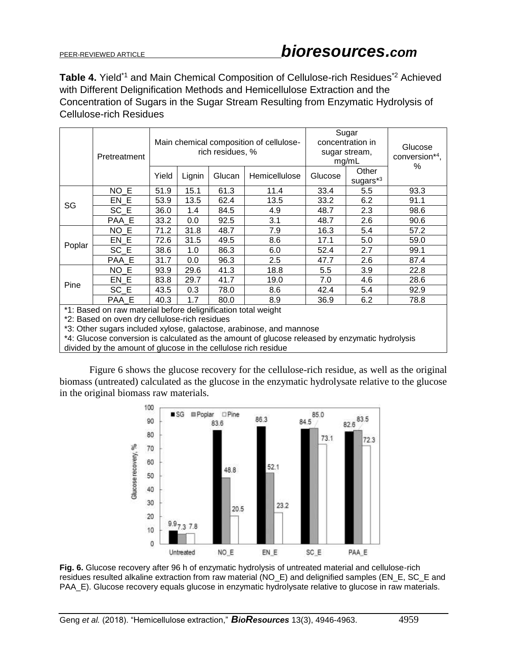**Table 4.** Yield\*<sup>1</sup> and Main Chemical Composition of Cellulose-rich Residues<sup>\*2</sup> Achieved with Different Delignification Methods and Hemicellulose Extraction and the Concentration of Sugars in the Sugar Stream Resulting from Enzymatic Hydrolysis of Cellulose-rich Residues

|                                                               | Pretreatment | Main chemical composition of cellulose-<br>rich residues, % |        |        |               | Sugar<br>concentration in<br>sugar stream,<br>mg/mL |                   | Glucose<br>conversion*4,<br>% |
|---------------------------------------------------------------|--------------|-------------------------------------------------------------|--------|--------|---------------|-----------------------------------------------------|-------------------|-------------------------------|
|                                                               |              | Yield                                                       | Lignin | Glucan | Hemicellulose | Glucose                                             | Other<br>sugars*3 |                               |
|                                                               | $NO$ $E$     | 51.9                                                        | 15.1   | 61.3   | 11.4          | 33.4                                                | 5.5               | 93.3                          |
| SG                                                            | EN E         | 53.9                                                        | 13.5   | 62.4   | 13.5          | 33.2                                                | 6.2               | 91.1                          |
|                                                               | SC E         | 36.0                                                        | 1.4    | 84.5   | 4.9           | 48.7                                                | 2.3               | 98.6                          |
|                                                               | PAA_E        | 33.2                                                        | 0.0    | 92.5   | 3.1           | 48.7                                                | 2.6               | 90.6                          |
|                                                               | NO E         | 71.2                                                        | 31.8   | 48.7   | 7.9           | 16.3                                                | 5.4               | 57.2                          |
|                                                               | EN E         | 72.6                                                        | 31.5   | 49.5   | 8.6           | 17.1                                                | 5.0               | 59.0                          |
| Poplar                                                        | SC E         | 38.6                                                        | 1.0    | 86.3   | 6.0           | 52.4                                                | 2.7               | 99.1                          |
|                                                               | PAA E        | 31.7                                                        | 0.0    | 96.3   | 2.5           | 47.7                                                | 2.6               | 87.4                          |
| Pine                                                          | NO E         | 93.9                                                        | 29.6   | 41.3   | 18.8          | 5.5                                                 | 3.9               | 22.8                          |
|                                                               | EN E         | 83.8                                                        | 29.7   | 41.7   | 19.0          | 7.0                                                 | 4.6               | 28.6                          |
|                                                               | SC E         | 43.5                                                        | 0.3    | 78.0   | 8.6           | 42.4                                                | 5.4               | 92.9                          |
|                                                               | PAA E        | 40.3                                                        | 1.7    | 80.0   | 8.9           | 36.9                                                | 6.2               | 78.8                          |
| *1: Based on raw material before delignification total weight |              |                                                             |        |        |               |                                                     |                   |                               |

\*2: Based on oven dry cellulose-rich residues

\*3: Other sugars included xylose, galactose, arabinose, and mannose

\*4: Glucose conversion is calculated as the amount of glucose released by enzymatic hydrolysis divided by the amount of glucose in the cellulose rich residue

Figure 6 shows the glucose recovery for the cellulose-rich residue, as well as the original biomass (untreated) calculated as the glucose in the enzymatic hydrolysate relative to the glucose in the original biomass raw materials.



**Fig. 6.** Glucose recovery after 96 h of enzymatic hydrolysis of untreated material and cellulose-rich residues resulted alkaline extraction from raw material (NO\_E) and delignified samples (EN\_E, SC\_E and PAA\_E). Glucose recovery equals glucose in enzymatic hydrolysate relative to glucose in raw materials.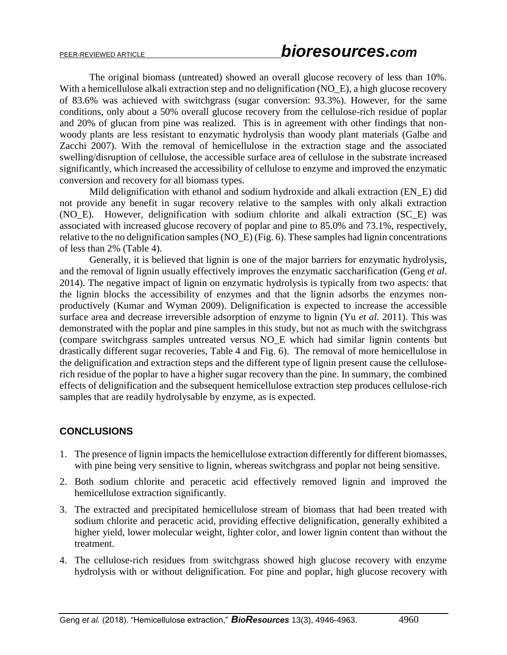The original biomass (untreated) showed an overall glucose recovery of less than 10%. With a hemicellulose alkali extraction step and no delignification (NO\_E), a high glucose recovery of 83.6% was achieved with switchgrass (sugar conversion: 93.3%). However, for the same conditions, only about a 50% overall glucose recovery from the cellulose-rich residue of poplar and 20% of glucan from pine was realized. This is in agreement with other findings that nonwoody plants are less resistant to enzymatic hydrolysis than woody plant materials (Galbe and Zacchi 2007). With the removal of hemicellulose in the extraction stage and the associated swelling/disruption of cellulose, the accessible surface area of cellulose in the substrate increased significantly, which increased the accessibility of cellulose to enzyme and improved the enzymatic conversion and recovery for all biomass types.

Mild delignification with ethanol and sodium hydroxide and alkali extraction (EN\_E) did not provide any benefit in sugar recovery relative to the samples with only alkali extraction (NO\_E). However, delignification with sodium chlorite and alkali extraction (SC\_E) was associated with increased glucose recovery of poplar and pine to 85.0% and 73.1%, respectively, relative to the no delignification samples (NO\_E) (Fig. 6). These samples had lignin concentrations of less than 2% (Table 4).

Generally, it is believed that lignin is one of the major barriers for enzymatic hydrolysis, and the removal of lignin usually effectively improves the enzymatic saccharification (Geng *et al.* 2014). The negative impact of lignin on enzymatic hydrolysis is typically from two aspects: that the lignin blocks the accessibility of enzymes and that the lignin adsorbs the enzymes nonproductively (Kumar and Wyman 2009). Delignification is expected to increase the accessible surface area and decrease irreversible adsorption of enzyme to lignin (Yu *et al.* 2011). This was demonstrated with the poplar and pine samples in this study, but not as much with the switchgrass (compare switchgrass samples untreated versus NO\_E which had similar lignin contents but drastically different sugar recoveries, Table 4 and Fig. 6). The removal of more hemicellulose in the delignification and extraction steps and the different type of lignin present cause the celluloserich residue of the poplar to have a higher sugar recovery than the pine. In summary, the combined effects of delignification and the subsequent hemicellulose extraction step produces cellulose-rich samples that are readily hydrolysable by enzyme, as is expected.

# **CONCLUSIONS**

- 1. The presence of lignin impacts the hemicellulose extraction differently for different biomasses, with pine being very sensitive to lignin, whereas switchgrass and poplar not being sensitive.
- 2. Both sodium chlorite and peracetic acid effectively removed lignin and improved the hemicellulose extraction significantly.
- 3. The extracted and precipitated hemicellulose stream of biomass that had been treated with sodium chlorite and peracetic acid, providing effective delignification, generally exhibited a higher yield, lower molecular weight, lighter color, and lower lignin content than without the treatment.
- 4. The cellulose-rich residues from switchgrass showed high glucose recovery with enzyme hydrolysis with or without delignification. For pine and poplar, high glucose recovery with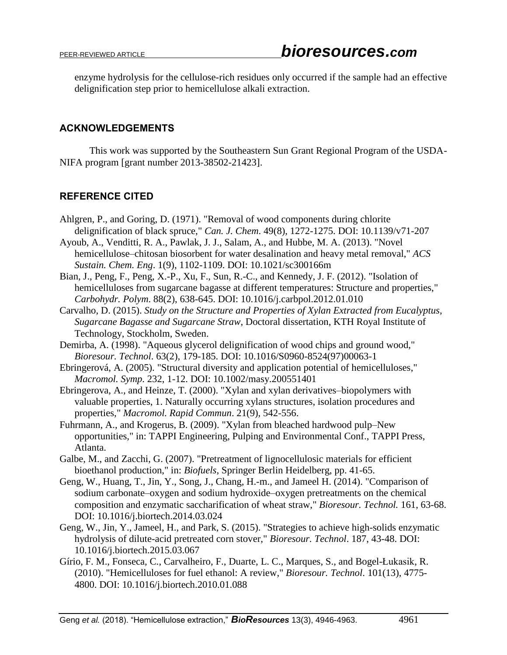enzyme hydrolysis for the cellulose-rich residues only occurred if the sample had an effective delignification step prior to hemicellulose alkali extraction.

## **ACKNOWLEDGEMENTS**

This work was supported by the Southeastern Sun Grant Regional Program of the USDA-NIFA program [grant number 2013-38502-21423].

# **REFERENCE CITED**

- Ahlgren, P., and Goring, D. (1971). "Removal of wood components during chlorite delignification of black spruce," *Can. J. Chem*. 49(8), 1272-1275. DOI: 10.1139/v71-207
- Ayoub, A., Venditti, R. A., Pawlak, J. J., Salam, A., and Hubbe, M. A. (2013). "Novel hemicellulose–chitosan biosorbent for water desalination and heavy metal removal," *ACS Sustain. Chem. Eng*. 1(9), 1102-1109. DOI: 10.1021/sc300166m
- Bian, J., Peng, F., Peng, X.-P., Xu, F., Sun, R.-C., and Kennedy, J. F. (2012). "Isolation of hemicelluloses from sugarcane bagasse at different temperatures: Structure and properties," *Carbohydr. Polym*. 88(2), 638-645. DOI: 10.1016/j.carbpol.2012.01.010
- Carvalho, D. (2015). *Study on the Structure and Properties of Xylan Extracted from Eucalyptus, Sugarcane Bagasse and Sugarcane Straw*, Doctoral dissertation, KTH Royal Institute of Technology, Stockholm, Sweden.
- Demirba, A. (1998). "Aqueous glycerol delignification of wood chips and ground wood," *Bioresour. Technol*. 63(2), 179-185. DOI: 10.1016/S0960-8524(97)00063-1
- Ebringerová, A. (2005). "Structural diversity and application potential of hemicelluloses," *Macromol. Symp*. 232, 1-12. DOI: 10.1002/masy.200551401
- Ebringerova, A., and Heinze, T. (2000). "Xylan and xylan derivatives–biopolymers with valuable properties, 1. Naturally occurring xylans structures, isolation procedures and properties," *Macromol. Rapid Commun*. 21(9), 542-556.
- Fuhrmann, A., and Krogerus, B. (2009). "Xylan from bleached hardwood pulp–New opportunities," in: TAPPI Engineering, Pulping and Environmental Conf., TAPPI Press, Atlanta.
- Galbe, M., and Zacchi, G. (2007). "Pretreatment of lignocellulosic materials for efficient bioethanol production," in: *Biofuels*, Springer Berlin Heidelberg, pp. 41-65.
- Geng, W., Huang, T., Jin, Y., Song, J., Chang, H.-m., and Jameel H. (2014). "Comparison of sodium carbonate–oxygen and sodium hydroxide–oxygen pretreatments on the chemical composition and enzymatic saccharification of wheat straw," *Bioresour. Technol.* 161, 63-68. DOI: 10.1016/j.biortech.2014.03.024
- Geng, W., Jin, Y., Jameel, H., and Park, S. (2015). "Strategies to achieve high-solids enzymatic hydrolysis of dilute-acid pretreated corn stover," *Bioresour. Technol*. 187, 43-48. DOI: 10.1016/j.biortech.2015.03.067
- Gírio, F. M., Fonseca, C., Carvalheiro, F., Duarte, L. C., Marques, S., and Bogel-Łukasik, R. (2010). "Hemicelluloses for fuel ethanol: A review," *Bioresour. Technol*. 101(13), 4775- 4800. DOI: 10.1016/j.biortech.2010.01.088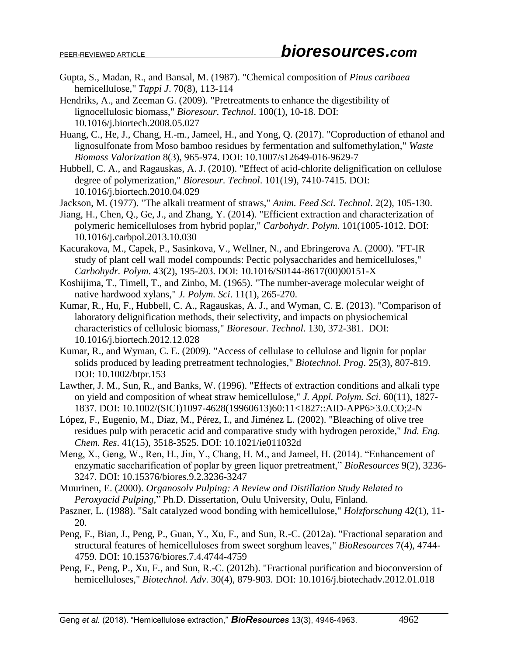- Gupta, S., Madan, R., and Bansal, M. (1987). "Chemical composition of *Pinus caribaea* hemicellulose," *Tappi J*. 70(8), 113-114
- Hendriks, A., and Zeeman G. (2009). "Pretreatments to enhance the digestibility of lignocellulosic biomass," *Bioresour. Technol*. 100(1), 10-18. DOI: 10.1016/j.biortech.2008.05.027
- Huang, C., He, J., Chang, H.-m., Jameel, H., and Yong, Q. (2017). "Coproduction of ethanol and lignosulfonate from Moso bamboo residues by fermentation and sulfomethylation," *Waste Biomass Valorization* 8(3), 965-974. DOI: 10.1007/s12649-016-9629-7
- Hubbell, C. A., and Ragauskas, A. J. (2010). "Effect of acid-chlorite delignification on cellulose degree of polymerization," *Bioresour. Technol*. 101(19), 7410-7415. DOI: 10.1016/j.biortech.2010.04.029
- Jackson, M. (1977). "The alkali treatment of straws," *Anim. Feed Sci. Technol*. 2(2), 105-130.
- Jiang, H., Chen, Q., Ge, J., and Zhang, Y. (2014). "Efficient extraction and characterization of polymeric hemicelluloses from hybrid poplar," *Carbohydr. Polym*. 101(1005-1012. DOI: 10.1016/j.carbpol.2013.10.030
- Kacurakova, M., Capek, P., Sasinkova, V., Wellner, N., and Ebringerova A. (2000). "FT-IR study of plant cell wall model compounds: Pectic polysaccharides and hemicelluloses," *Carbohydr. Polym*. 43(2), 195-203. DOI: 10.1016/S0144-8617(00)00151-X
- Koshijima, T., Timell, T., and Zinbo, M. (1965). "The number-average molecular weight of native hardwood xylans," *J. Polym. Sci*. 11(1), 265-270.
- Kumar, R., Hu, F., Hubbell, C. A., Ragauskas, A. J., and Wyman, C. E. (2013). "Comparison of laboratory delignification methods, their selectivity, and impacts on physiochemical characteristics of cellulosic biomass," *Bioresour. Technol*. 130, 372-381. DOI: 10.1016/j.biortech.2012.12.028
- Kumar, R., and Wyman, C. E. (2009). "Access of cellulase to cellulose and lignin for poplar solids produced by leading pretreatment technologies," *Biotechnol. Prog*. 25(3), 807-819. DOI: 10.1002/btpr.153
- Lawther, J. M., Sun, R., and Banks, W. (1996). "Effects of extraction conditions and alkali type on yield and composition of wheat straw hemicellulose," *J. Appl. Polym. Sci*. 60(11), 1827- 1837. DOI: 10.1002/(SICI)1097-4628(19960613)60:11<1827::AID-APP6>3.0.CO;2-N
- López, F., Eugenio, M., Díaz, M., Pérez, I., and Jiménez L. (2002). "Bleaching of olive tree residues pulp with peracetic acid and comparative study with hydrogen peroxide," *Ind. Eng. Chem. Res*. 41(15), 3518-3525. DOI: 10.1021/ie011032d
- Meng, X., Geng, W., Ren, H., Jin, Y., Chang, H. M., and Jameel, H. (2014). "Enhancement of enzymatic saccharification of poplar by green liquor pretreatment," *BioResources* 9(2), 3236- 3247. DOI: 10.15376/biores.9.2.3236-3247
- Muurinen, E. (2000). *Organosolv Pulping: A Review and Distillation Study Related to Peroxyacid Pulping*," Ph.D. Dissertation, Oulu University, Oulu, Finland.
- Paszner, L. (1988). "Salt catalyzed wood bonding with hemicellulose," *Holzforschung* 42(1), 11- 20.
- Peng, F., Bian, J., Peng, P., Guan, Y., Xu, F., and Sun, R.-C. (2012a). "Fractional separation and structural features of hemicelluloses from sweet sorghum leaves," *BioResources* 7(4), 4744- 4759. DOI: 10.15376/biores.7.4.4744-4759
- Peng, F., Peng, P., Xu, F., and Sun, R.-C. (2012b). "Fractional purification and bioconversion of hemicelluloses," *Biotechnol. Adv*. 30(4), 879-903. DOI: 10.1016/j.biotechadv.2012.01.018